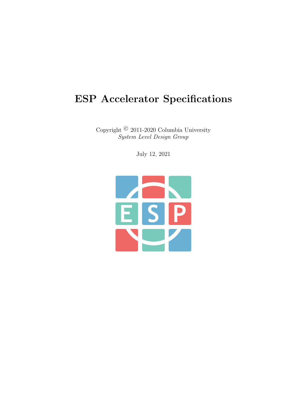## ESP Accelerator Specifications

Copyright © 2011-2020 Columbia University System Level Design Group

July 12, 2021

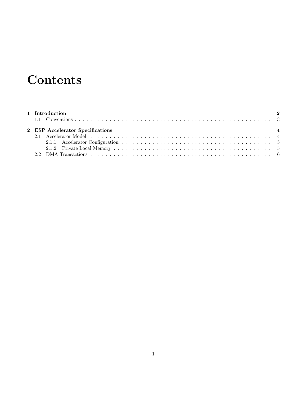## **Contents**

|  | 1 Introduction                   |  |
|--|----------------------------------|--|
|  |                                  |  |
|  | 2 ESP Accelerator Specifications |  |
|  |                                  |  |
|  |                                  |  |
|  |                                  |  |
|  |                                  |  |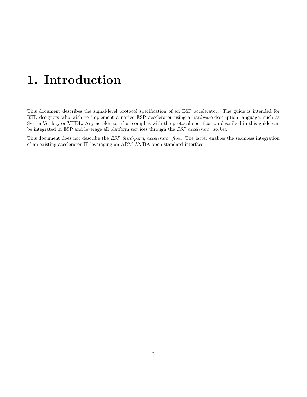# <span id="page-2-0"></span>1. Introduction

This document describes the signal-level protocol specification of an ESP accelerator. The guide is intended for RTL designers who wish to implement a native ESP accelerator using a hardware-description language, such as SystemVerilog, or VHDL. Any accelerator that complies with the protocol specification described in this guide can be integrated in ESP and leverage all platform services through the ESP accelerator socket.

This document does not describe the *ESP third-party accelerator flow*. The latter enables the seamless integration of an existing accelerator IP leveraging an ARM AMBA open standard interface.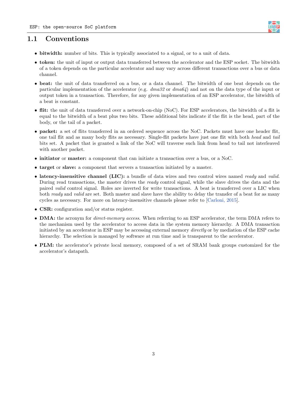### <span id="page-3-0"></span>1.1 Conventions

- bitwidth: number of bits. This is typically associated to a signal, or to a unit of data.
- token: the unit of input or output data transferred between the accelerator and the ESP socket. The bitwidth of a token depends on the particular accelerator and may vary across different transactions over a bus or data channel.
- beat: the unit of data transferred on a bus, or a data channel. The bitwidth of one beat depends on the particular implementation of the accelerator (e.g.  $dma32$  or  $dma64$ ) and not on the data type of the input or output token in a transaction. Therefore, for any given implementation of an ESP accelerator, the bitwidth of a beat is constant.
- flit: the unit of data transferred over a network-on-chip (NoC). For ESP accelerators, the bitwidth of a flit is equal to the bitwidth of a beat plus two bits. These additional bits indicate if the flit is the head, part of the body, or the tail of a packet.
- packet: a set of flits transferred in an ordered sequence across the NoC. Packets must have one header flit, one tail flit and as many body flits as necessary. Single-flit packets have just one flit with both head and tail bits set. A packet that is granted a link of the NoC will traverse such link from head to tail not interleaved with another packet.
- initiator or master: a component that can initiate a transaction over a bus, or a NoC.
- target or slave: a component that servers a transaction initiated by a master.
- latency-insensitive channel (LIC): a bundle of data wires and two control wires named ready and valid. During read transactions, the master drives the ready control signal, while the slave drives the data and the paired valid control signal. Roles are inverted for write transactions. A beat is transferred over a LIC when both ready and valid are set. Both master and slave have the ability to delay the transfer of a beat for as many cycles as necessary. For more on latency-insensitive channels please refer to [\[Carloni, 2015\]](#page-9-0).
- CSR: configuration and/or status register.
- DMA: the acronym for *direct-memory access*. When referring to an ESP accelerator, the term DMA refers to the mechanism used by the accelerator to access data in the system memory hierarchy. A DMA transaction initiated by an accelerator in ESP may be accessing external memory *directly* or by mediation of the ESP cache hierarchy. The selection is managed by software at run time and is transparent to the accelerator.
- PLM: the accelerator's private local memory, composed of a set of SRAM bank groups customized for the accelerator's datapath.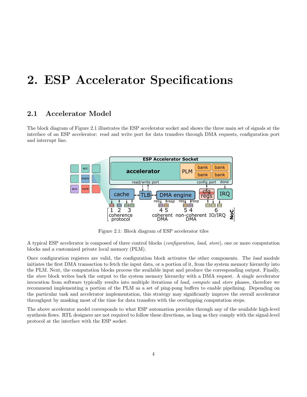## <span id="page-4-0"></span>2. ESP Accelerator Specifications

### <span id="page-4-1"></span>2.1 Accelerator Model

The block diagram of Figure [2.1](#page-4-1) illustrates the ESP accelerator socket and shows the three main set of signals at the interface of an ESP accelerator: read and write port for data transfers through DMA requests, configuration port and interrupt line.



Figure 2.1: Block diagram of ESP accelerator tiles

A typical ESP accelerator is composed of three control blocks (configuration, load, store), one or more computation blocks and a customized private local memory (PLM).

Once configuration registers are valid, the configuration block activates the other components. The load module initiates the first DMA transaction to fetch the input data, or a portion of it, from the system memory hierarchy into the PLM. Next, the computation blocks process the available input and produce the corresponding output. Finally, the store block writes back the output to the system memory hierarchy with a DMA request. A single accelerator invocation from software typically results into multiple iterations of load, compute and store phases, therefore we recommend implementing a portion of the PLM as a set of ping-pong buffers to enable pipelining. Depending on the particular task and accelerator implementation, this strategy may significantly improve the overall accelerator throughput by masking most of the time for data transfers with the overlapping computation steps.

The above accelerator model corresponds to what ESP automation provides through any of the available high-level synthesis flows. RTL designers are not required to follow these directions, as long as they comply with the signal-level protocol at the interface with the ESP socket.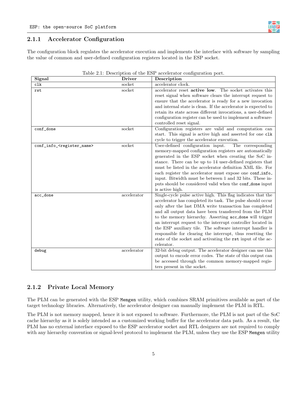#### <span id="page-5-0"></span>2.1.1 Accelerator Configuration

The configuration block regulates the accelerator execution and implements the interface with software by sampling the value of common and user-defined configuration registers located in the ESP socket.

| Signal                                     | <b>Driver</b>            | Description                                                                                                             |
|--------------------------------------------|--------------------------|-------------------------------------------------------------------------------------------------------------------------|
| c1k                                        | socket                   | accelerator clock.                                                                                                      |
| rst                                        | socket                   | accelerator reset active low. The socket activates this                                                                 |
|                                            |                          | reset signal when software clears the interrupt request to                                                              |
|                                            |                          | ensure that the accelerator is ready for a new invocation                                                               |
|                                            |                          | and internal state is clean. If the accelerator is expected to                                                          |
|                                            |                          | retain its state across different invocations, a user-defined                                                           |
|                                            |                          | configuration register can be used to implement a software-                                                             |
|                                            |                          | controlled reset signal.                                                                                                |
| conf_done                                  | socket                   | Configuration registers are valid and computation can                                                                   |
|                                            |                          | start. This signal is active high and asserted for one clk                                                              |
|                                            |                          | cycle to trigger the accelerator execution.                                                                             |
| conf_info_ <register_name></register_name> | socket                   | User-defined configuration input.<br>The corresponding                                                                  |
|                                            |                          | memory-mapped configuration registers are automatically                                                                 |
|                                            |                          | generated in the ESP socket when creating the SoC in-                                                                   |
|                                            |                          | stance. There can be up to 14 user-defined registers that                                                               |
|                                            |                          | must be listed in the accelerator definition XML file. For                                                              |
|                                            |                          | each register the accelerator must expose one confinio-                                                                 |
|                                            |                          | input. Bitwidth must be between 1 and 32 bits. These in-                                                                |
|                                            |                          | puts should be considered valid when the conf_done input                                                                |
|                                            |                          | is active high.                                                                                                         |
| acc_done                                   | accelerator              | Single-cycle pulse active high. This flag indicates that the                                                            |
|                                            |                          | accelerator has completed its task. The pulse should occur                                                              |
|                                            |                          | only after the last DMA write transaction has completed                                                                 |
|                                            |                          | and all output data have been transferred from the PLM                                                                  |
|                                            |                          | to the memory hierarchy. Asserting acc_done will trigger                                                                |
|                                            |                          | an interrupt request to the interrupt controller located in                                                             |
|                                            |                          | the ESP auxiliary tile. The software interrupt handler is<br>responsible for clearing the interrupt, thus resetting the |
|                                            |                          | state of the socket and activating the rst input of the ac-                                                             |
|                                            |                          | celerator.                                                                                                              |
| debug                                      | $\overline{accelerator}$ | 32-bit debug output. The accelerator designer can use this                                                              |
|                                            |                          | output to encode error codes. The state of this output can                                                              |
|                                            |                          | be accessed through the common memory-mapped regis-                                                                     |
|                                            |                          | ters present in the socket.                                                                                             |
|                                            |                          |                                                                                                                         |

| Table 2.1: Description of the ESP accelerator configuration port. |  |
|-------------------------------------------------------------------|--|
|-------------------------------------------------------------------|--|

#### <span id="page-5-1"></span>2.1.2 Private Local Memory

The PLM can be generated with the ESP Memgen utility, which combines SRAM primitives available as part of the target technology libraries. Alternatively, the accelerator designer can manually implement the PLM in RTL.

The PLM is not memory mapped, hence it is not exposed to software. Furthermore, the PLM is not part of the SoC cache hierarchy as it is solely intended as a customized working buffer for the accelerator data path. As a result, the PLM has no external interface exposed to the ESP accelerator socket and RTL designers are not required to comply with any hierarchy convention or signal-level protocol to implement the PLM, unless they use the ESP Memgen utility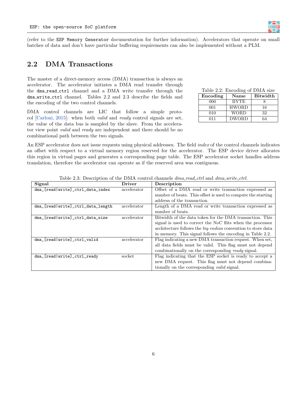(refer to the ESP Memory Generator documentation for further information). Accelerators that operate on small batches of data and don't have particular buffering requirements can also be implemented without a PLM.

### <span id="page-6-0"></span>2.2 DMA Transactions

The master of a direct-memory access (DMA) transaction is always an accelerator. The accelerator initiates a DMA read transfer through the dma read ctrl channel and a DMA write transfer through the dma write ctrl channel. Tables [2.2](#page-6-1) and [2.3](#page-6-2) describe the fields and the encoding of the two control channels.

DMA control channels are LIC that follow a simple protocol [\[Carloni, 2015\]](#page-9-0): when both valid and ready control signals are set, the value of the data bus is sampled by the slave. From the accelerator view point valid and ready are independent and there should be no combinational path between the two signals.

<span id="page-6-1"></span>Table 2.2: Encoding of DMA size Encoding Name Bitwidth 000 | BYTE | 8

**E S P**

| റററ | BYTE         |    |
|-----|--------------|----|
| 001 | <b>HWORD</b> | 16 |
| 010 | WORD         | 32 |
| 011 | <b>DWORD</b> | 64 |
|     |              |    |

An ESP accelerator does not issue requests using physical addresses. The field *index* of the control channels indicates an offset with respect to a virtual memory region reserved for the accelerator. The ESP device driver allocates this region in virtual pages and generates a corresponding page table. The ESP accelerator socket handles address translation, therefore the accelerator can operate as if the reserved area was contiguous.

Table 2.3: Description of the DMA control channels  $dma\_read\_ctrl$  and  $dma\_write\_ctrl$ .

<span id="page-6-2"></span>

| Signal                            | <b>Driver</b> | Description                                                         |
|-----------------------------------|---------------|---------------------------------------------------------------------|
| dma_[read write]_ctrl_data_index  | accelerator   | Offset of a DMA read or write transaction expressed as              |
|                                   |               | number of beats. This offset is used to compute the starting        |
|                                   |               | address of the transaction.                                         |
| dma_[read write]_ctrl_data_length | accelerator   | Length of a DMA read or write transaction expressed as              |
|                                   |               | number of beats.                                                    |
| dma_[read write]_ctrl_data_size   | accelerator   | Bitwidth of the data token for the DMA transaction. This            |
|                                   |               | signal is used to correct the NoC flits when the processor          |
|                                   |               | architecture follows the <i>big endian</i> convention to store data |
|                                   |               | in memory. This signal follows the encoding in Table 2.2.           |
| dma_[read write]_ctrl_valid       | accelerator   | Flag indicating a new DMA transaction request. When set,            |
|                                   |               | all data fields must be valid. This flag must not depend            |
|                                   |               | combinationally on the corresponding ready signal.                  |
| dma_[read write]_ctrl_ready       | socket        | Flag indicating that the ESP socket is ready to accept a            |
|                                   |               | new DMA request. This flag must not depend combina-                 |
|                                   |               | tionally on the corresponding <i>valid</i> signal.                  |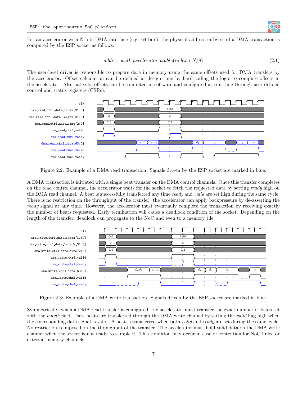<span id="page-7-1"></span>

<span id="page-7-0"></span>For an accelerator with N-bits DMA interface (e.g. 64 bits), the physical address in bytes of a DMA transaction is computed by the ESP socket as follows:

$$
addr = walk\_accelerator\_ptable/index*N/8)
$$
\n(2.1)

The user-level driver is responsible to prepare data in memory using the same offsets used for DMA transfers by the accelerator. Offset calculation can be defined at design time by hard-coding the logic to compute offsets in the accelerator. Alternatively, offsets can be computed in software and configured at run time through user-defined control and status registers (CSRs).



Figure 2.2: Example of a DMA read transaction. Signals driven by the ESP socket are marked in blue.

A DMA transaction is initiated with a single beat transfer on the DMA control channels. Once this transfer completes on the read control channel, the accelerator waits for the socket to fetch the requested data by setting ready high on the DMA read channel. A beat is successfully transferred any time ready and valid are set high during the same cycle. There is no restriction on the throughput of the transfer: the accelerator can apply backpressure by de-asserting the ready signal at any time. However, the accelerator must eventually complete the transaction by receiving exactly the number of beats requested. Early termination will cause a deadlock condition of the socket. Depending on the length of the transfer, deadlock can propagate to the NoC and even to a memory tile.



Figure 2.3: Example of a DMA write transaction. Signals driven by the ESP socket are marked in blue.

Symmetrically, when a DMA read transfer is configured, the accelerator must transfer the exact number of beats set with the *length* field. Data beats are transferred through the DMA write channel by setting the *valid* flag high when the corresponding data signal is valid. A beat is transferred when both *valid* and *ready* are set during the same cycle. No restriction is imposed on the throughput of the transfer. The accelerator must hold valid data on the DMA write channel when the socket is not ready to sample it. This condition may occur in case of contention for NoC links, or external memory channels.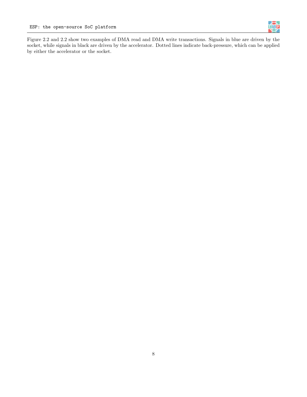

Figure [2.2](#page-7-0) and [2.2](#page-7-1) show two examples of DMA read and DMA write transactions. Signals in blue are driven by the socket, while signals in black are driven by the accelerator. Dotted lines indicate back-pressure, which can be applied by either the accelerator or the socket.